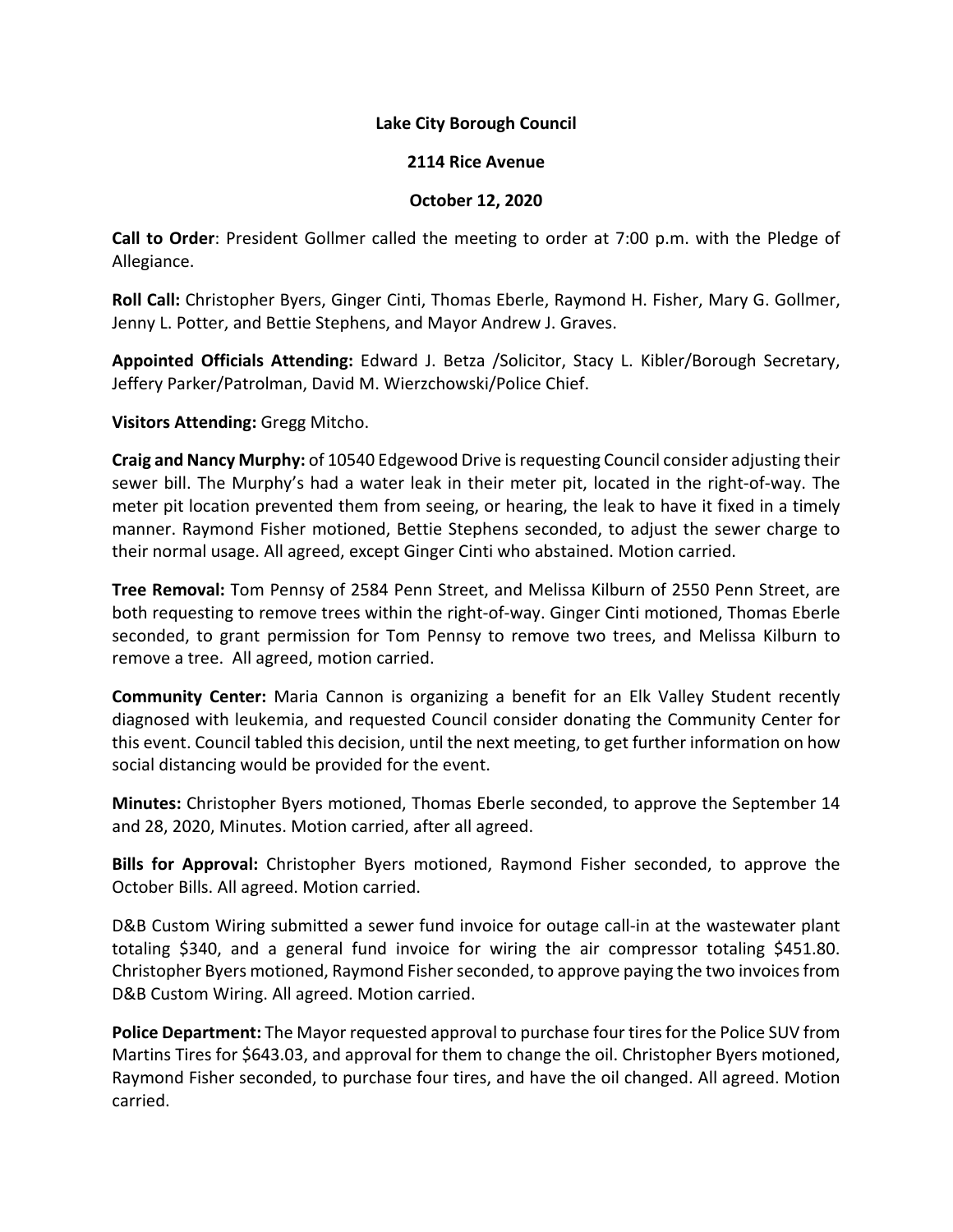## **Lake City Borough Council**

## **2114 Rice Avenue**

## **October 12, 2020**

**Call to Order**: President Gollmer called the meeting to order at 7:00 p.m. with the Pledge of Allegiance.

**Roll Call:** Christopher Byers, Ginger Cinti, Thomas Eberle, Raymond H. Fisher, Mary G. Gollmer, Jenny L. Potter, and Bettie Stephens, and Mayor Andrew J. Graves.

**Appointed Officials Attending:** Edward J. Betza /Solicitor, Stacy L. Kibler/Borough Secretary, Jeffery Parker/Patrolman, David M. Wierzchowski/Police Chief.

**Visitors Attending:** Gregg Mitcho.

**Craig and Nancy Murphy:** of 10540 Edgewood Drive is requesting Council consider adjusting their sewer bill. The Murphy's had a water leak in their meter pit, located in the right-of-way. The meter pit location prevented them from seeing, or hearing, the leak to have it fixed in a timely manner. Raymond Fisher motioned, Bettie Stephens seconded, to adjust the sewer charge to their normal usage. All agreed, except Ginger Cinti who abstained. Motion carried.

**Tree Removal:** Tom Pennsy of 2584 Penn Street, and Melissa Kilburn of 2550 Penn Street, are both requesting to remove trees within the right-of-way. Ginger Cinti motioned, Thomas Eberle seconded, to grant permission for Tom Pennsy to remove two trees, and Melissa Kilburn to remove a tree. All agreed, motion carried.

**Community Center:** Maria Cannon is organizing a benefit for an Elk Valley Student recently diagnosed with leukemia, and requested Council consider donating the Community Center for this event. Council tabled this decision, until the next meeting, to get further information on how social distancing would be provided for the event.

**Minutes:** Christopher Byers motioned, Thomas Eberle seconded, to approve the September 14 and 28, 2020, Minutes. Motion carried, after all agreed.

**Bills for Approval:** Christopher Byers motioned, Raymond Fisher seconded, to approve the October Bills. All agreed. Motion carried.

D&B Custom Wiring submitted a sewer fund invoice for outage call-in at the wastewater plant totaling \$340, and a general fund invoice for wiring the air compressor totaling \$451.80. Christopher Byers motioned, Raymond Fisher seconded, to approve paying the two invoices from D&B Custom Wiring. All agreed. Motion carried.

**Police Department:** The Mayor requested approval to purchase four tires for the Police SUV from Martins Tires for \$643.03, and approval for them to change the oil. Christopher Byers motioned, Raymond Fisher seconded, to purchase four tires, and have the oil changed. All agreed. Motion carried.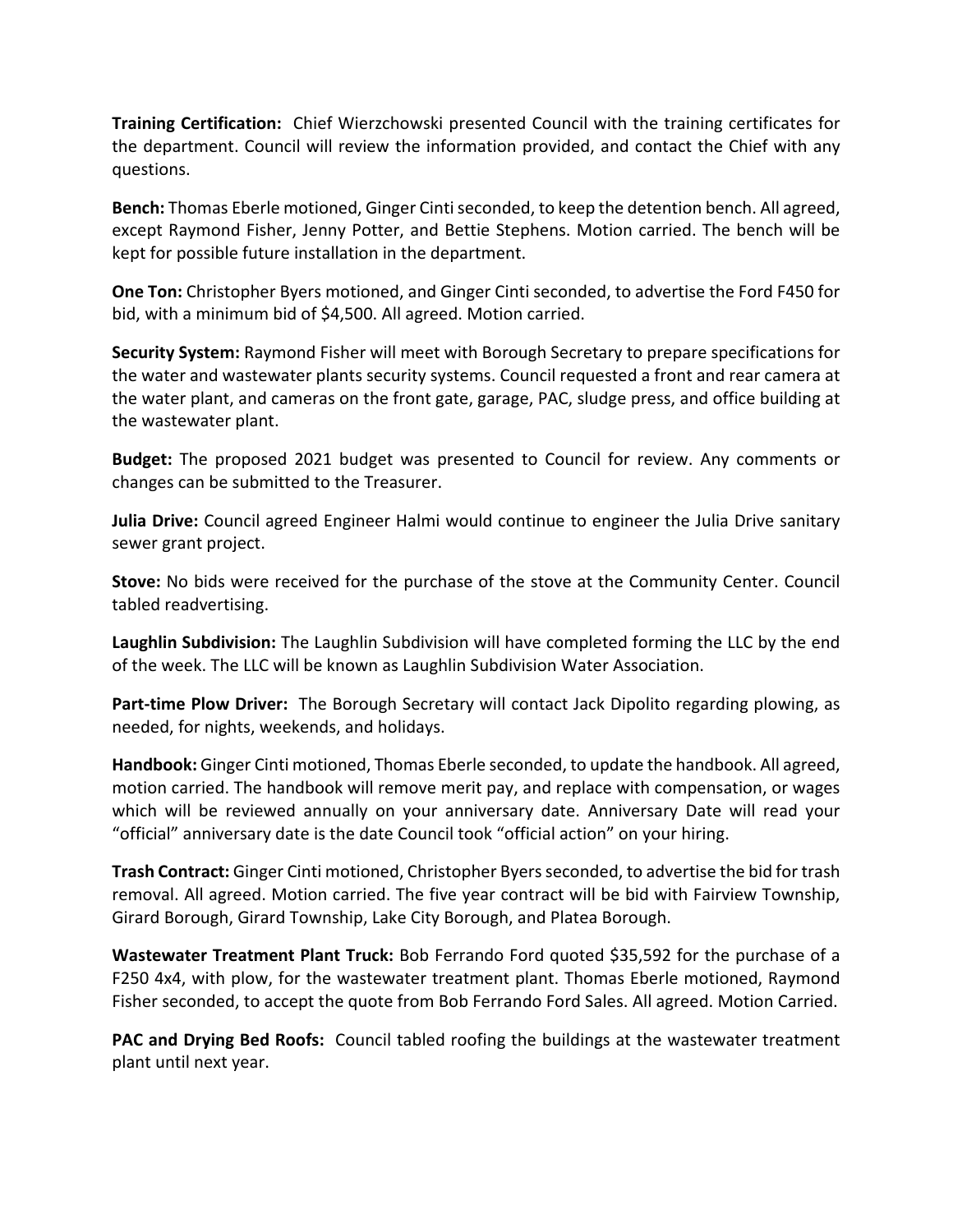**Training Certification:** Chief Wierzchowski presented Council with the training certificates for the department. Council will review the information provided, and contact the Chief with any questions.

**Bench:** Thomas Eberle motioned, Ginger Cinti seconded, to keep the detention bench. All agreed, except Raymond Fisher, Jenny Potter, and Bettie Stephens. Motion carried. The bench will be kept for possible future installation in the department.

**One Ton:** Christopher Byers motioned, and Ginger Cinti seconded, to advertise the Ford F450 for bid, with a minimum bid of \$4,500. All agreed. Motion carried.

**Security System:** Raymond Fisher will meet with Borough Secretary to prepare specifications for the water and wastewater plants security systems. Council requested a front and rear camera at the water plant, and cameras on the front gate, garage, PAC, sludge press, and office building at the wastewater plant.

**Budget:** The proposed 2021 budget was presented to Council for review. Any comments or changes can be submitted to the Treasurer.

**Julia Drive:** Council agreed Engineer Halmi would continue to engineer the Julia Drive sanitary sewer grant project.

**Stove:** No bids were received for the purchase of the stove at the Community Center. Council tabled readvertising.

**Laughlin Subdivision:** The Laughlin Subdivision will have completed forming the LLC by the end of the week. The LLC will be known as Laughlin Subdivision Water Association.

**Part-time Plow Driver:** The Borough Secretary will contact Jack Dipolito regarding plowing, as needed, for nights, weekends, and holidays.

**Handbook:** Ginger Cinti motioned, Thomas Eberle seconded, to update the handbook. All agreed, motion carried. The handbook will remove merit pay, and replace with compensation, or wages which will be reviewed annually on your anniversary date. Anniversary Date will read your "official" anniversary date is the date Council took "official action" on your hiring.

**Trash Contract:** Ginger Cinti motioned, Christopher Byers seconded, to advertise the bid for trash removal. All agreed. Motion carried. The five year contract will be bid with Fairview Township, Girard Borough, Girard Township, Lake City Borough, and Platea Borough.

**Wastewater Treatment Plant Truck:** Bob Ferrando Ford quoted \$35,592 for the purchase of a F250 4x4, with plow, for the wastewater treatment plant. Thomas Eberle motioned, Raymond Fisher seconded, to accept the quote from Bob Ferrando Ford Sales. All agreed. Motion Carried.

**PAC and Drying Bed Roofs:** Council tabled roofing the buildings at the wastewater treatment plant until next year.